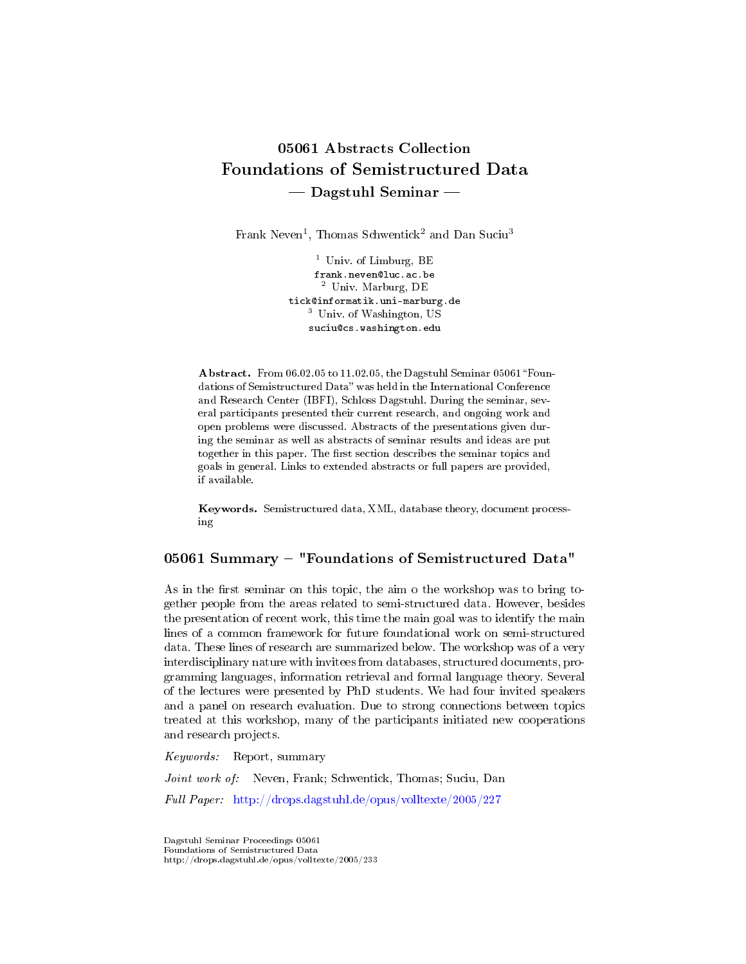# 05061 Abstracts Collection Foundations of Semistructured Data Dagstuhl Seminar

Frank Neven<sup>1</sup>, Thomas Schwentick<sup>2</sup> and Dan Suciu<sup>3</sup>

<sup>1</sup> Univ. of Limburg, BE frank.neven@luc.ac.be <sup>2</sup> Univ. Marburg, DE tick@informatik.uni-marburg.de <sup>3</sup> Univ. of Washington, US suciu@cs.washington.edu

Abstract. From 06.02.05 to 11.02.05, the Dagstuhl Seminar 05061 "Foundations of Semistructured Data" was held in the International Conference and Research Center (IBFI), Schloss Dagstuhl. During the seminar, several participants presented their current research, and ongoing work and open problems were discussed. Abstracts of the presentations given during the seminar as well as abstracts of seminar results and ideas are put together in this paper. The first section describes the seminar topics and goals in general. Links to extended abstracts or full papers are provided, if available.

Keywords. Semistructured data, XML, database theory, document processing

# 05061 Summary - "Foundations of Semistructured Data"

As in the first seminar on this topic, the aim o the workshop was to bring together people from the areas related to semi-structured data. However, besides the presentation of recent work, this time the main goal was to identify the main lines of a common framework for future foundational work on semi-structured data. These lines of research are summarized below. The workshop was of a very interdisciplinary nature with invitees from databases, structured documents, programming languages, information retrieval and formal language theory. Several of the lectures were presented by PhD students. We had four invited speakers and a panel on research evaluation. Due to strong connections between topics treated at this workshop, many of the participants initiated new cooperations and research projects.

Keywords: Report, summary

Joint work of: Neven, Frank; Schwentick, Thomas; Suciu, Dan

Full Paper: <http://drops.dagstuhl.de/opus/volltexte/2005/227>

Dagstuhl Seminar Proceedings 05061 Foundations of Semistructured Data http://drops.dagstuhl.de/opus/volltexte/2005/233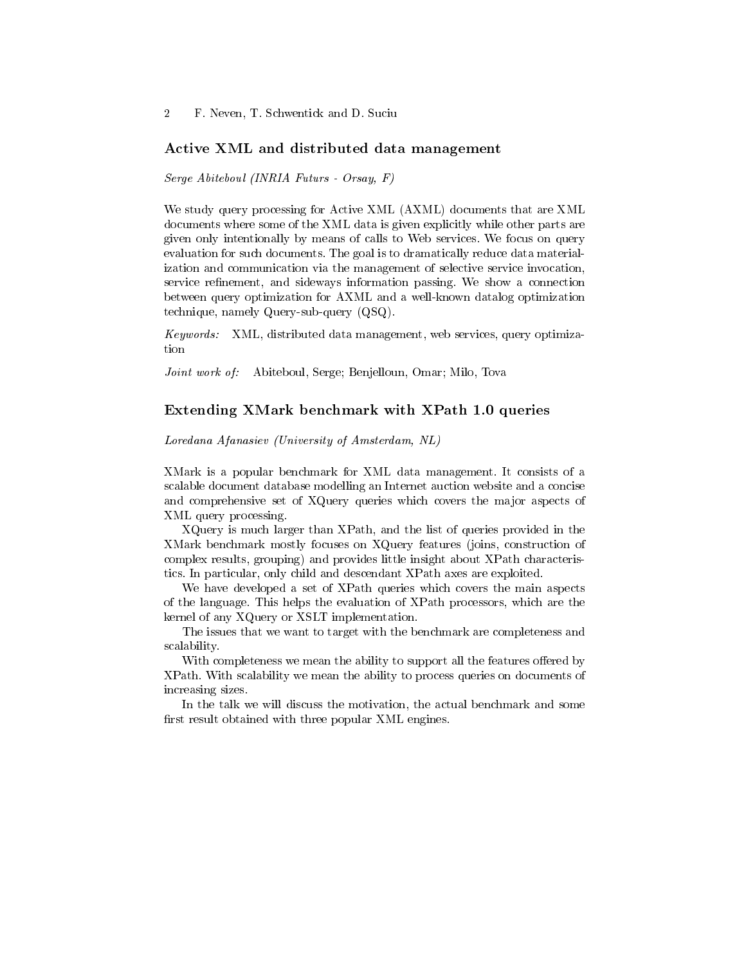#### Active XML and distributed data management

Serge Abiteboul (INRIA Futurs - Orsay, F)

We study query processing for Active XML (AXML) documents that are XML documents where some of the XML data is given explicitly while other parts are given only intentionally by means of calls to Web services. We focus on query evaluation for such documents. The goal is to dramatically reduce data materialization and communication via the management of selective service invocation, service refinement, and sideways information passing. We show a connection between query optimization for AXML and a well-known datalog optimization technique, namely Query-sub-query (QSQ).

Keywords: XML, distributed data management, web services, query optimization

Joint work of: Abiteboul, Serge; Benjelloun, Omar; Milo, Tova

### Extending XMark benchmark with XPath 1.0 queries

Loredana Afanasiev (University of Amsterdam, NL)

XMark is a popular benchmark for XML data management. It consists of a scalable document database modelling an Internet auction website and a concise and comprehensive set of XQuery queries which covers the major aspects of XML query processing.

XQuery is much larger than XPath, and the list of queries provided in the XMark benchmark mostly focuses on XQuery features (joins, construction of complex results, grouping) and provides little insight about XPath characteristics. In particular, only child and descendant XPath axes are exploited.

We have developed a set of XPath queries which covers the main aspects of the language. This helps the evaluation of XPath processors, which are the kernel of any XQuery or XSLT implementation.

The issues that we want to target with the benchmark are completeness and scalability.

With completeness we mean the ability to support all the features offered by XPath. With scalability we mean the ability to process queries on documents of increasing sizes.

In the talk we will discuss the motivation, the actual benchmark and some first result obtained with three popular XML engines.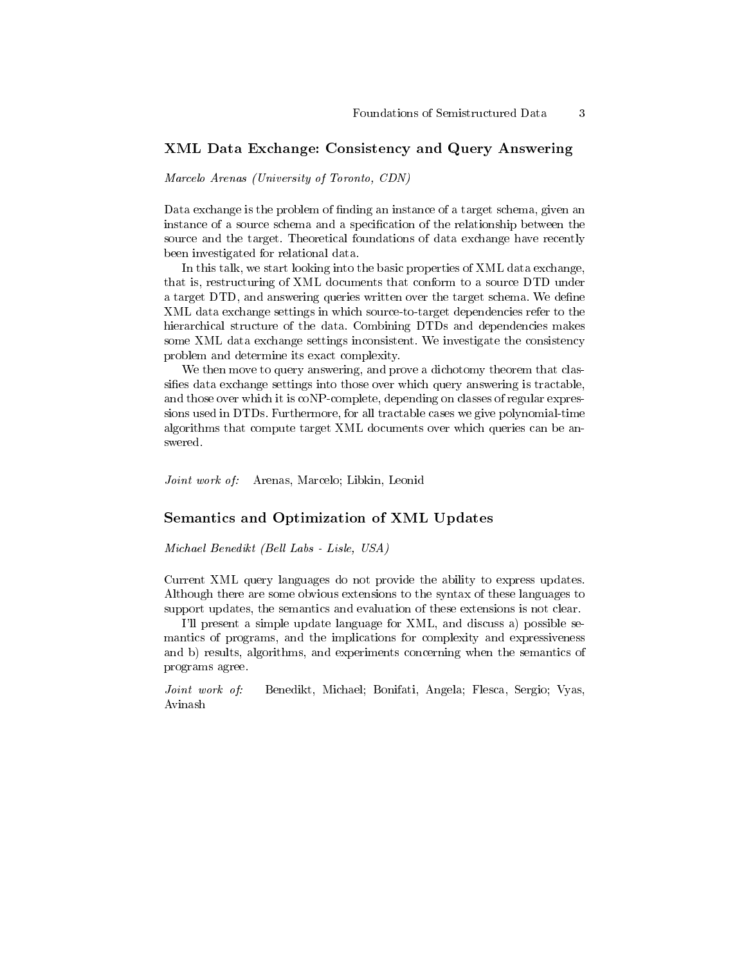### XML Data Exchange: Consistency and Query Answering

Marcelo Arenas (University of Toronto, CDN)

Data exchange is the problem of finding an instance of a target schema, given an instance of a source schema and a specification of the relationship between the source and the target. Theoretical foundations of data exchange have recently been investigated for relational data.

In this talk, we start looking into the basic properties of XML data exchange, that is, restructuring of XML documents that conform to a source DTD under a target DTD, and answering queries written over the target schema. We define XML data exchange settings in which source-to-target dependencies refer to the hierarchical structure of the data. Combining DTDs and dependencies makes some XML data exchange settings inconsistent. We investigate the consistency problem and determine its exact complexity.

We then move to query answering, and prove a dichotomy theorem that classifies data exchange settings into those over which query answering is tractable, and those over which it is coNP-complete, depending on classes of regular expressions used in DTDs. Furthermore, for all tractable cases we give polynomial-time algorithms that compute target XML documents over which queries can be answered.

Joint work of: Arenas, Marcelo; Libkin, Leonid

#### Semantics and Optimization of XML Updates

Michael Benedikt (Bell Labs - Lisle, USA)

Current XML query languages do not provide the ability to express updates. Although there are some obvious extensions to the syntax of these languages to support updates, the semantics and evaluation of these extensions is not clear.

I'll present a simple update language for XML, and discuss a) possible semantics of programs, and the implications for complexity and expressiveness and b) results, algorithms, and experiments concerning when the semantics of programs agree.

Joint work of: Benedikt, Michael; Bonifati, Angela; Flesca, Sergio; Vyas, Avinash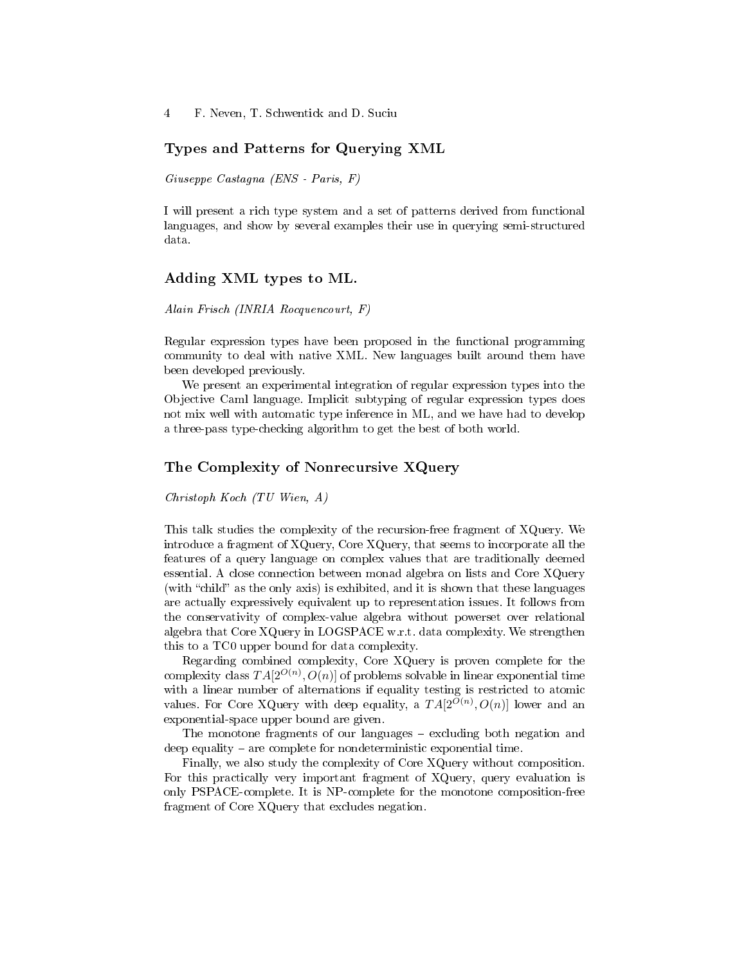### Types and Patterns for Querying XML

Giuseppe Castagna (ENS - Paris, F)

I will present a rich type system and a set of patterns derived from functional languages, and show by several examples their use in querying semi-structured data.

### Adding XML types to ML.

Alain Frisch (INRIA Rocquencourt, F)

Regular expression types have been proposed in the functional programming community to deal with native XML. New languages built around them have been developed previously.

We present an experimental integration of regular expression types into the Objective Caml language. Implicit subtyping of regular expression types does not mix well with automatic type inference in ML, and we have had to develop a three-pass type-checking algorithm to get the best of both world.

### The Complexity of Nonrecursive XQuery

Christoph Koch (TU Wien, A)

This talk studies the complexity of the recursion-free fragment of XQuery. We introduce a fragment of XQuery, Core XQuery, that seems to incorporate all the features of a query language on complex values that are traditionally deemed essential. A close connection between monad algebra on lists and Core XQuery (with "child" as the only axis) is exhibited, and it is shown that these languages are actually expressively equivalent up to representation issues. It follows from the conservativity of complex-value algebra without powerset over relational algebra that Core XQuery in LOGSPACE w.r.t. data complexity. We strengthen this to a TC0 upper bound for data complexity.

Regarding combined complexity, Core XQuery is proven complete for the complexity class  $TA[2^{O(n)},O(n)]$  of problems solvable in linear exponential time with a linear number of alternations if equality testing is restricted to atomic values. For Core XQuery with deep equality, a  $TA[2^{O(n)}, O(n)]$  lower and an exponential-space upper bound are given.

The monotone fragments of our languages – excluding both negation and deep equality  $-$  are complete for nondeterministic exponential time.

Finally, we also study the complexity of Core XQuery without composition. For this practically very important fragment of XQuery, query evaluation is only PSPACE-complete. It is NP-complete for the monotone composition-free fragment of Core XQuery that excludes negation.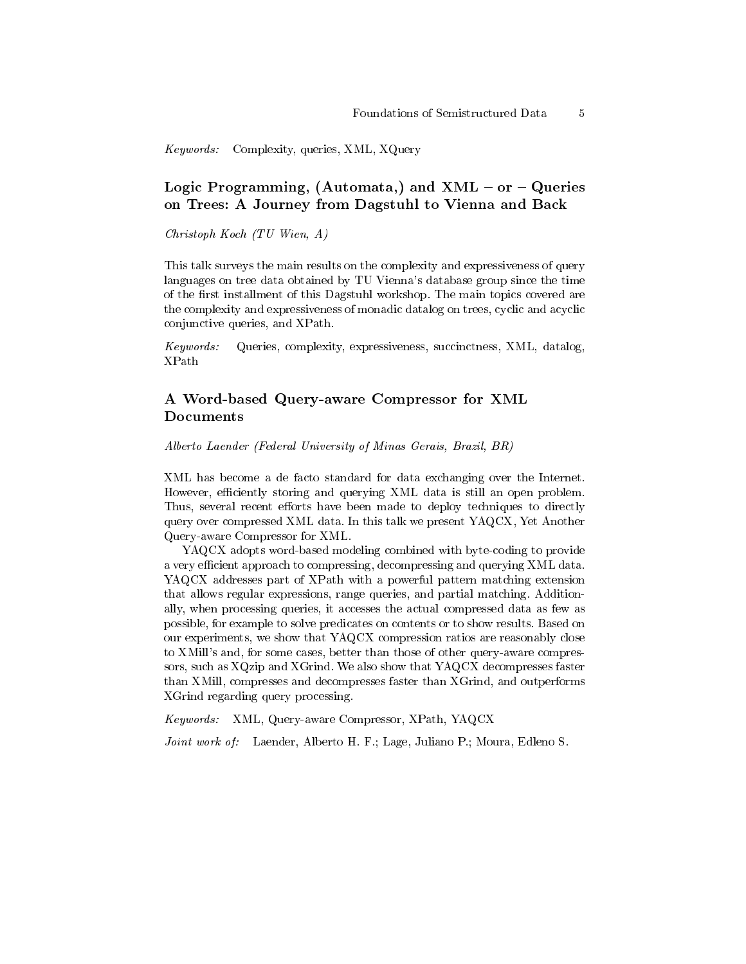Keywords: Complexity, queries, XML, XQuery

# Logic Programming, (Automata,) and  $XML$  – or – Queries on Trees: A Journey from Dagstuhl to Vienna and Back

Christoph Koch (TU Wien, A)

This talk surveys the main results on the complexity and expressiveness of query languages on tree data obtained by TU Vienna's database group since the time of the first installment of this Dagstuhl workshop. The main topics covered are the complexity and expressiveness of monadic datalog on trees, cyclic and acyclic conjunctive queries, and XPath.

Keywords: Queries, complexity, expressiveness, succinctness, XML, datalog, XPath

# A Word-based Query-aware Compressor for XML Documents

Alberto Laender (Federal University of Minas Gerais, Brazil, BR)

XML has become a de facto standard for data exchanging over the Internet. However, efficiently storing and querying XML data is still an open problem. Thus, several recent efforts have been made to deploy techniques to directly query over compressed XML data. In this talk we present YAQCX, Yet Another Query-aware Compressor for XML.

YAQCX adopts word-based modeling combined with byte-coding to provide a very efficient approach to compressing, decompressing and querying XML data. YAQCX addresses part of XPath with a powerful pattern matching extension that allows regular expressions, range queries, and partial matching. Additionally, when processing queries, it accesses the actual compressed data as few as possible, for example to solve predicates on contents or to show results. Based on our experiments, we show that YAQCX compression ratios are reasonably close to XMill's and, for some cases, better than those of other query-aware compressors, such as XQzip and XGrind. We also show that YAQCX decompresses faster than XMill, compresses and decompresses faster than XGrind, and outperforms XGrind regarding query processing.

Keywords: XML, Query-aware Compressor, XPath, YAQCX

Joint work of: Laender, Alberto H. F.; Lage, Juliano P.; Moura, Edleno S.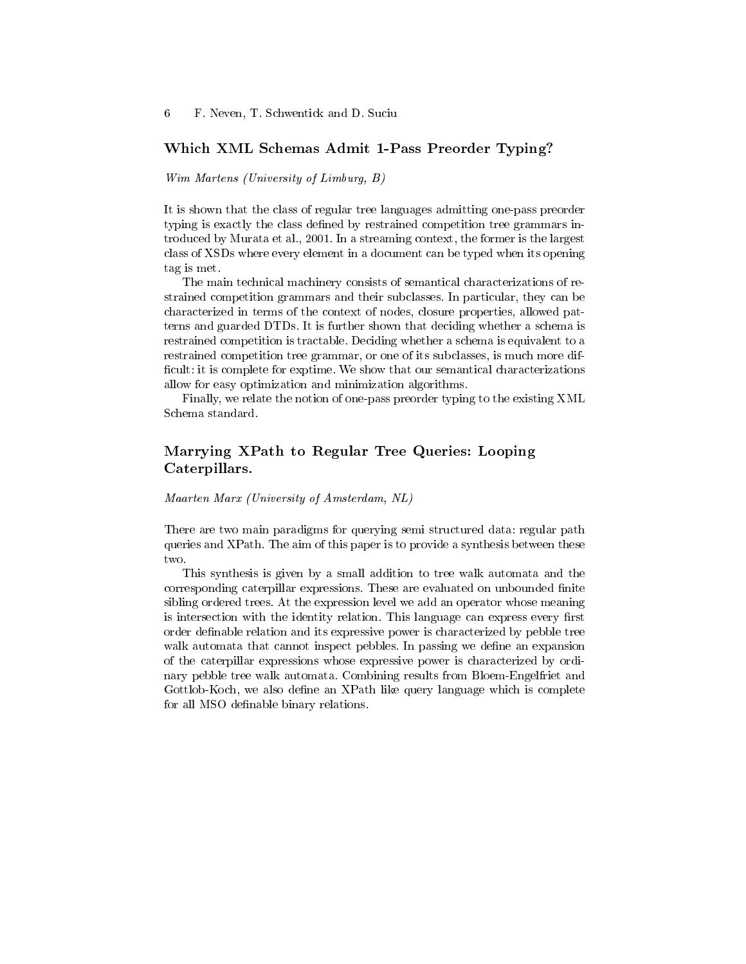### Which XML Schemas Admit 1-Pass Preorder Typing?

Wim Martens (University of Limburg, B)

It is shown that the class of regular tree languages admitting one-pass preorder typing is exactly the class defined by restrained competition tree grammars introduced by Murata et al., 2001. In a streaming context, the former is the largest class of XSDs where every element in a document can be typed when its opening tag is met.

The main technical machinery consists of semantical characterizations of restrained competition grammars and their subclasses. In particular, they can be characterized in terms of the context of nodes, closure properties, allowed patterns and guarded DTDs. It is further shown that deciding whether a schema is restrained competition is tractable. Deciding whether a schema is equivalent to a restrained competition tree grammar, or one of its subclasses, is much more dif ficult: it is complete for exptime. We show that our semantical characterizations allow for easy optimization and minimization algorithms.

Finally, we relate the notion of one-pass preorder typing to the existing XML Schema standard.

# Marrying XPath to Regular Tree Queries: Looping Caterpillars.

Maarten Marx (University of Amsterdam, NL)

There are two main paradigms for querying semi structured data: regular path queries and XPath. The aim of this paper is to provide a synthesis between these two.

This synthesis is given by a small addition to tree walk automata and the corresponding caterpillar expressions. These are evaluated on unbounded finite sibling ordered trees. At the expression level we add an operator whose meaning is intersection with the identity relation. This language can express every first order definable relation and its expressive power is characterized by pebble tree walk automata that cannot inspect pebbles. In passing we define an expansion of the caterpillar expressions whose expressive power is characterized by ordinary pebble tree walk automata. Combining results from Bloem-Engelfriet and Gottlob-Koch, we also define an XPath like query language which is complete for all MSO definable binary relations.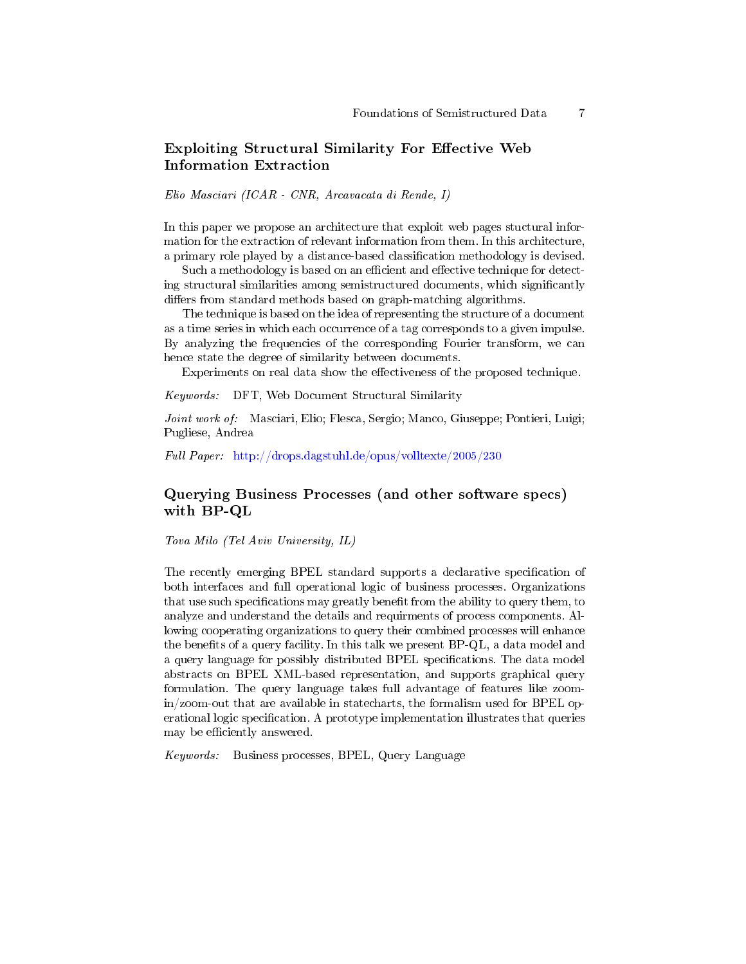# Exploiting Structural Similarity For Effective Web Information Extraction

Elio Masciari (ICAR - CNR, Arcavacata di Rende, I)

In this paper we propose an architecture that exploit web pages stuctural information for the extraction of relevant information from them. In this architecture, a primary role played by a distance-based classication methodology is devised.

Such a methodology is based on an efficient and effective technique for detecting structural similarities among semistructured documents, which signicantly differs from standard methods based on graph-matching algorithms.

The technique is based on the idea of representing the structure of a document as a time series in which each occurrence of a tag corresponds to a given impulse. By analyzing the frequencies of the corresponding Fourier transform, we can hence state the degree of similarity between documents.

Experiments on real data show the effectiveness of the proposed technique.

Keywords: DFT, Web Document Structural Similarity

Joint work of: Masciari, Elio; Flesca, Sergio; Manco, Giuseppe; Pontieri, Luigi; Pugliese, Andrea

Full Paper: <http://drops.dagstuhl.de/opus/volltexte/2005/230>

### Querying Business Processes (and other software specs) with BP-QL

Tova Milo (Tel Aviv University, IL)

The recently emerging BPEL standard supports a declarative specification of both interfaces and full operational logic of business processes. Organizations that use such specifications may greatly benefit from the ability to query them, to analyze and understand the details and requirments of process components. Allowing cooperating organizations to query their combined processes will enhance the benefits of a query facility. In this talk we present BP-QL, a data model and a query language for possibly distributed BPEL specifications. The data model abstracts on BPEL XML-based representation, and supports graphical query formulation. The query language takes full advantage of features like zoomin/zoom-out that are available in statecharts, the formalism used for BPEL operational logic specification. A prototype implementation illustrates that queries may be efficiently answered.

Keywords: Business processes, BPEL, Query Language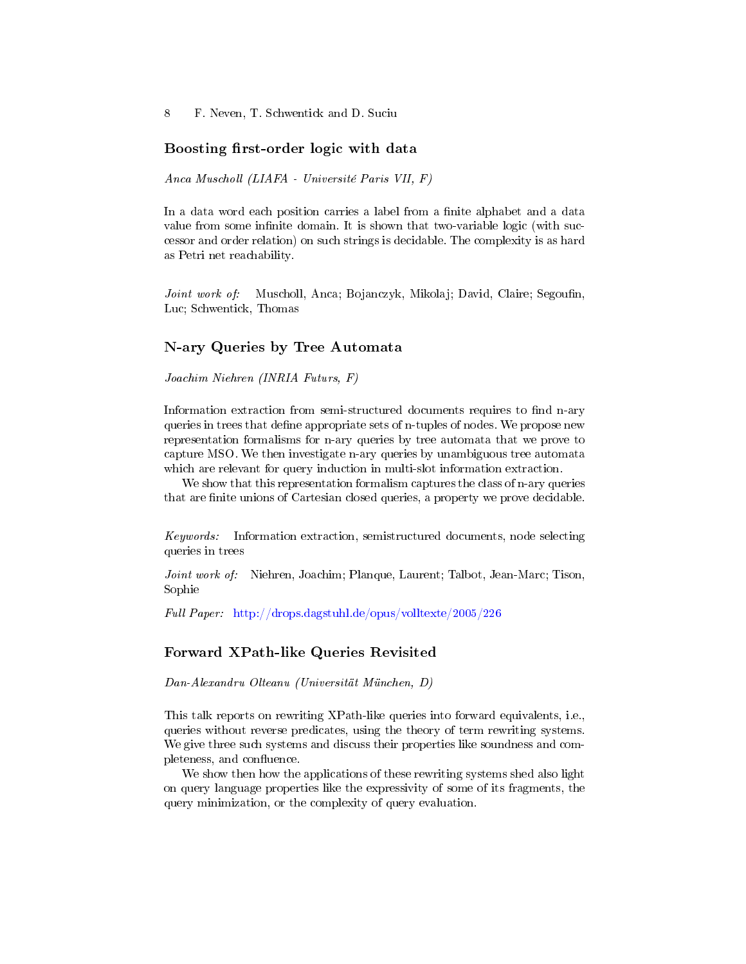#### Boosting first-order logic with data

Anca Muscholl (LIAFA - Université Paris VII, F)

In a data word each position carries a label from a finite alphabet and a data value from some infinite domain. It is shown that two-variable logic (with successor and order relation) on such strings is decidable. The complexity is as hard as Petri net reachability.

Joint work of: Muscholl, Anca; Bojanczyk, Mikolaj; David, Claire; Segoufin, Luc; Schwentick, Thomas

# N-ary Queries by Tree Automata

Joachim Niehren (INRIA Futurs, F)

Information extraction from semi-structured documents requires to find n-ary queries in trees that define appropriate sets of n-tuples of nodes. We propose new representation formalisms for n-ary queries by tree automata that we prove to capture MSO. We then investigate n-ary queries by unambiguous tree automata which are relevant for query induction in multi-slot information extraction.

We show that this representation formalism captures the class of n-ary queries that are finite unions of Cartesian closed queries, a property we prove decidable.

Keywords: Information extraction, semistructured documents, node selecting queries in trees

Joint work of: Niehren, Joachim; Planque, Laurent; Talbot, Jean-Marc; Tison, Sophie

Full Paper: <http://drops.dagstuhl.de/opus/volltexte/2005/226>

#### Forward XPath-like Queries Revisited

Dan-Alexandru Olteanu (Universität München, D)

This talk reports on rewriting XPath-like queries into forward equivalents, i.e., queries without reverse predicates, using the theory of term rewriting systems. We give three such systems and discuss their properties like soundness and completeness, and confluence.

We show then how the applications of these rewriting systems shed also light on query language properties like the expressivity of some of its fragments, the query minimization, or the complexity of query evaluation.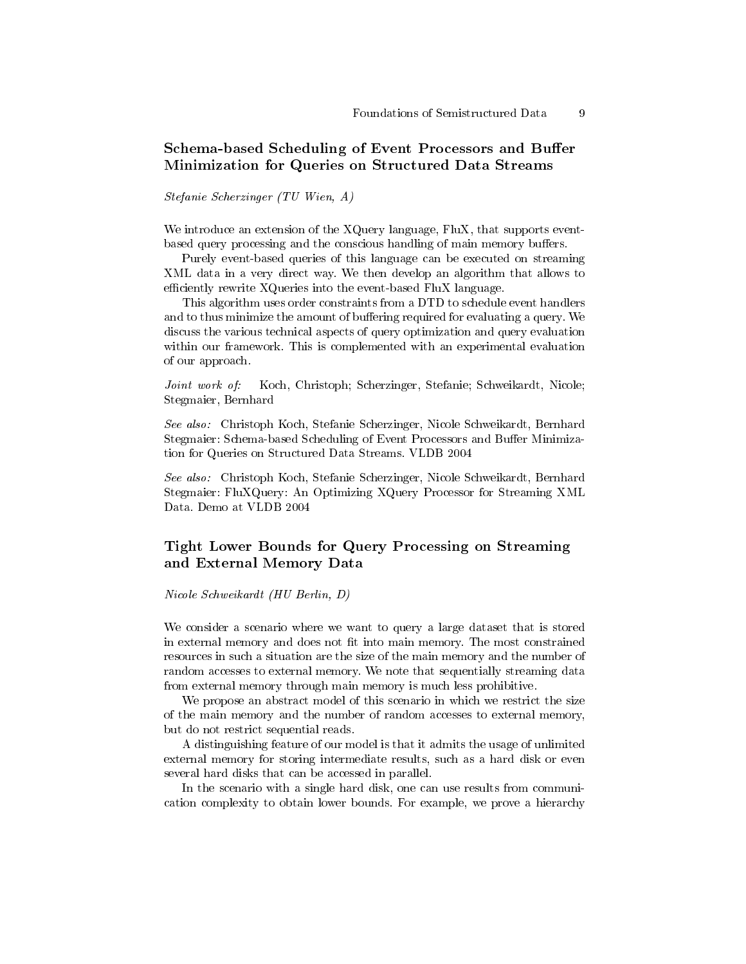# Schema-based Scheduling of Event Processors and Buffer Minimization for Queries on Structured Data Streams

Stefanie Scherzinger (TU Wien, A)

We introduce an extension of the XQuery language, FluX, that supports eventbased query processing and the conscious handling of main memory buffers.

Purely event-based queries of this language can be executed on streaming XML data in a very direct way. We then develop an algorithm that allows to efficiently rewrite  $XQ$ ueries into the event-based FluX language.

This algorithm uses order constraints from a DTD to schedule event handlers and to thus minimize the amount of buffering required for evaluating a query. We discuss the various technical aspects of query optimization and query evaluation within our framework. This is complemented with an experimental evaluation of our approach.

Joint work of: Koch, Christoph; Scherzinger, Stefanie; Schweikardt, Nicole; Stegmaier, Bernhard

See also: Christoph Koch, Stefanie Scherzinger, Nicole Schweikardt, Bernhard Stegmaier: Schema-based Scheduling of Event Processors and Buffer Minimization for Queries on Structured Data Streams. VLDB 2004

See also: Christoph Koch, Stefanie Scherzinger, Nicole Schweikardt, Bernhard Stegmaier: FluXQuery: An Optimizing XQuery Processor for Streaming XML Data. Demo at VLDB 2004

### Tight Lower Bounds for Query Processing on Streaming and External Memory Data

Nicole Schweikardt (HU Berlin, D)

We consider a scenario where we want to query a large dataset that is stored in external memory and does not fit into main memory. The most constrained resources in such a situation are the size of the main memory and the number of random accesses to external memory. We note that sequentially streaming data from external memory through main memory is much less prohibitive.

We propose an abstract model of this scenario in which we restrict the size of the main memory and the number of random accesses to external memory, but do not restrict sequential reads.

A distinguishing feature of our model is that it admits the usage of unlimited external memory for storing intermediate results, such as a hard disk or even several hard disks that can be accessed in parallel.

In the scenario with a single hard disk, one can use results from communication complexity to obtain lower bounds. For example, we prove a hierarchy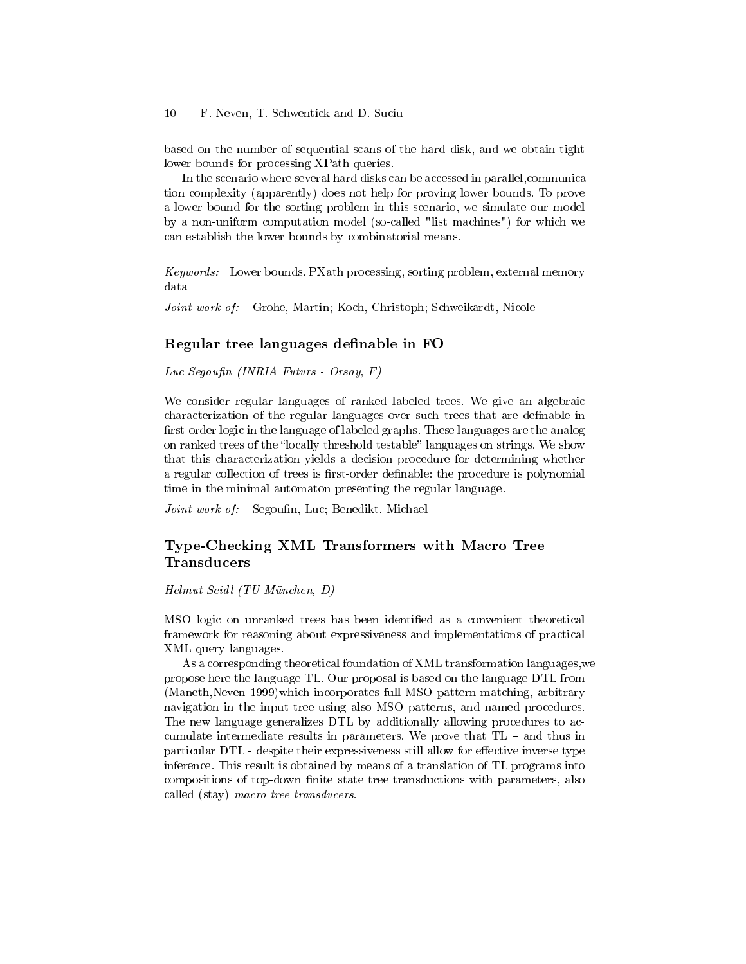based on the number of sequential scans of the hard disk, and we obtain tight lower bounds for processing XPath queries.

In the scenario where several hard disks can be accessed in parallel,communication complexity (apparently) does not help for proving lower bounds. To prove a lower bound for the sorting problem in this scenario, we simulate our model by a non-uniform computation model (so-called "list machines") for which we can establish the lower bounds by combinatorial means.

Keywords: Lower bounds, PXath processing, sorting problem, external memory data

Joint work of: Grohe, Martin; Koch, Christoph; Schweikardt, Nicole

#### Regular tree languages definable in FO

Luc Segoufin (INRIA Futurs - Orsay, F)

We consider regular languages of ranked labeled trees. We give an algebraic characterization of the regular languages over such trees that are definable in first-order logic in the language of labeled graphs. These languages are the analog on ranked trees of the "locally threshold testable" languages on strings. We show that this characterization yields a decision procedure for determining whether a regular collection of trees is first-order definable: the procedure is polynomial time in the minimal automaton presenting the regular language.

Joint work of: Segoufin, Luc; Benedikt, Michael

# Type-Checking XML Transformers with Macro Tree **Transducers**

Helmut Seidl (TU München, D)

MSO logic on unranked trees has been identified as a convenient theoretical framework for reasoning about expressiveness and implementations of practical XML query languages.

As a corresponding theoretical foundation of XML transformation languages,we propose here the language TL. Our proposal is based on the language DTL from (Maneth,Neven 1999)which incorporates full MSO pattern matching, arbitrary navigation in the input tree using also MSO patterns, and named procedures. The new language generalizes DTL by additionally allowing procedures to accumulate intermediate results in parameters. We prove that  $TL -$  and thus in particular DTL - despite their expressiveness still allow for effective inverse type inference. This result is obtained by means of a translation of TL programs into compositions of top-down finite state tree transductions with parameters, also called (stay) macro tree transducers.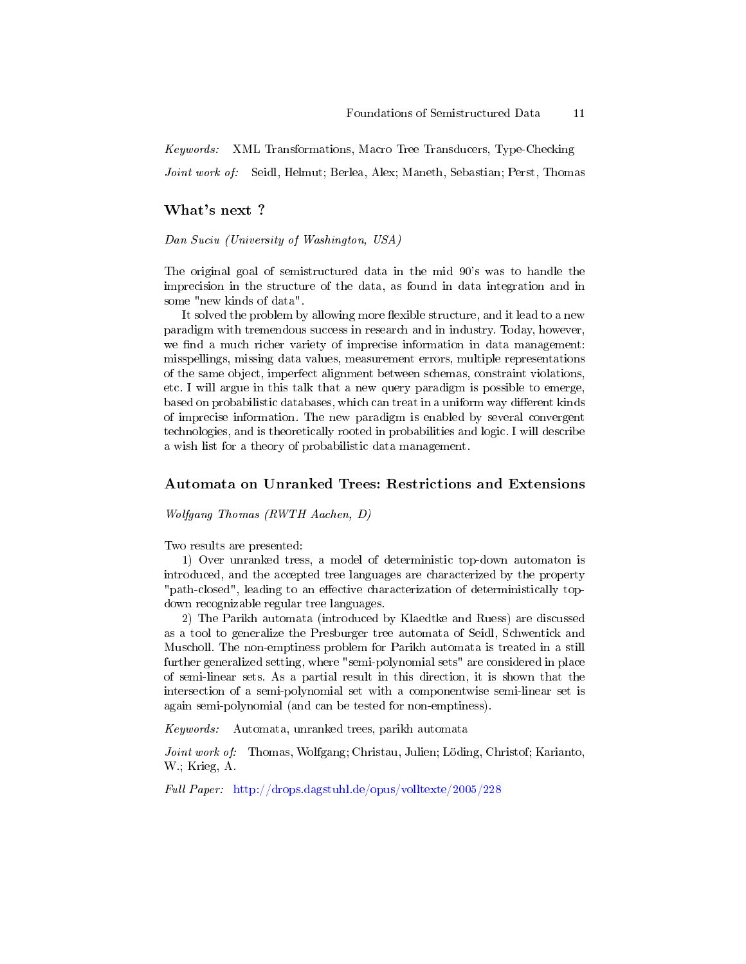Keywords: XML Transformations, Macro Tree Transducers, Type-Checking Joint work of: Seidl, Helmut; Berlea, Alex; Maneth, Sebastian; Perst, Thomas

#### What's next ?

Dan Suciu (University of Washington, USA)

The original goal of semistructured data in the mid 90's was to handle the imprecision in the structure of the data, as found in data integration and in some "new kinds of data".

It solved the problem by allowing more flexible structure, and it lead to a new paradigm with tremendous success in research and in industry. Today, however, we find a much richer variety of imprecise information in data management: misspellings, missing data values, measurement errors, multiple representations of the same object, imperfect alignment between schemas, constraint violations, etc. I will argue in this talk that a new query paradigm is possible to emerge, based on probabilistic databases, which can treat in a uniform way different kinds of imprecise information. The new paradigm is enabled by several convergent technologies, and is theoretically rooted in probabilities and logic. I will describe a wish list for a theory of probabilistic data management.

#### Automata on Unranked Trees: Restrictions and Extensions

Wolfgang Thomas (RWTH Aachen, D)

Two results are presented:

1) Over unranked tress, a model of deterministic top-down automaton is introduced, and the accepted tree languages are characterized by the property "path-closed", leading to an effective characterization of deterministically topdown recognizable regular tree languages.

2) The Parikh automata (introduced by Klaedtke and Ruess) are discussed as a tool to generalize the Presburger tree automata of Seidl, Schwentick and Muscholl. The non-emptiness problem for Parikh automata is treated in a still further generalized setting, where "semi-polynomial sets" are considered in place of semi-linear sets. As a partial result in this direction, it is shown that the intersection of a semi-polynomial set with a componentwise semi-linear set is again semi-polynomial (and can be tested for non-emptiness).

Keywords: Automata, unranked trees, parikh automata

Joint work of: Thomas, Wolfgang; Christau, Julien; Löding, Christof; Karianto, W.; Krieg, A.

Full Paper: <http://drops.dagstuhl.de/opus/volltexte/2005/228>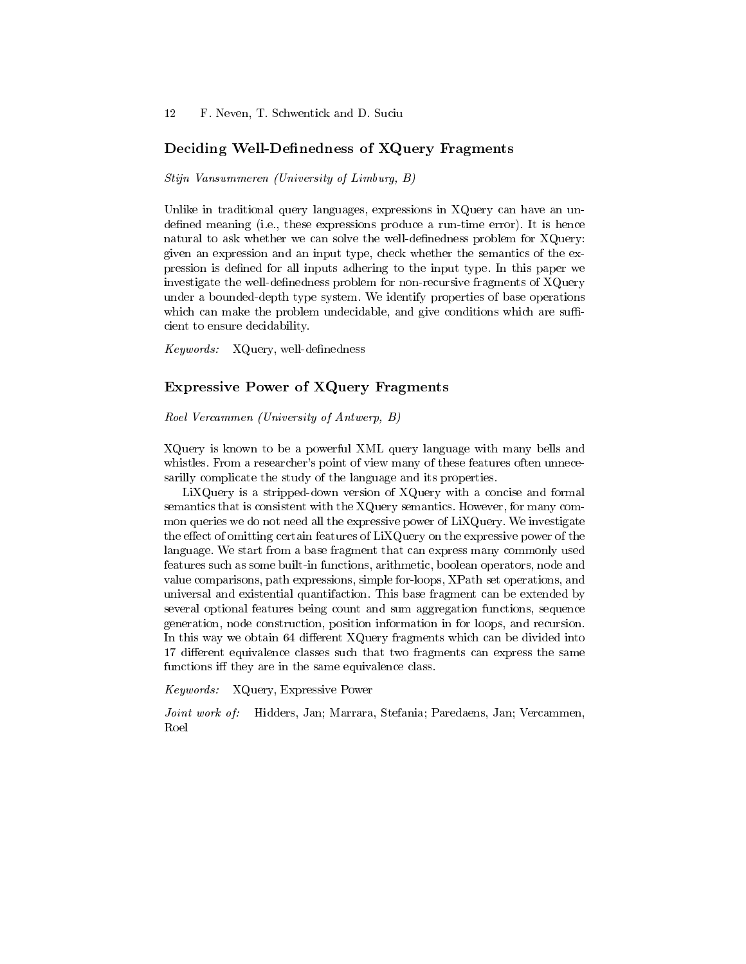#### Deciding Well-Definedness of XQuery Fragments

Stijn Vansummeren (University of Limburg, B)

Unlike in traditional query languages, expressions in XQuery can have an undefined meaning (i.e., these expressions produce a run-time error). It is hence natural to ask whether we can solve the well-definedness problem for XQuery: given an expression and an input type, check whether the semantics of the expression is defined for all inputs adhering to the input type. In this paper we investigate the well-definedness problem for non-recursive fragments of XQuery under a bounded-depth type system. We identify properties of base operations which can make the problem undecidable, and give conditions which are sufficient to ensure decidability.

 $Keywords:$  XQuery, well-definedness

### Expressive Power of XQuery Fragments

Roel Vercammen (University of Antwerp, B)

XQuery is known to be a powerful XML query language with many bells and whistles. From a researcher's point of view many of these features often unnecesarilly complicate the study of the language and its properties.

LiXQuery is a stripped-down version of XQuery with a concise and formal semantics that is consistent with the XQuery semantics. However, for many common queries we do not need all the expressive power of LiXQuery. We investigate the effect of omitting certain features of  $\text{LiXQuery}}$  on the expressive power of the language. We start from a base fragment that can express many commonly used features such as some built-in functions, arithmetic, boolean operators, node and value comparisons, path expressions, simple for-loops, XPath set operations, and universal and existential quantifaction. This base fragment can be extended by several optional features being count and sum aggregation functions, sequence generation, node construction, position information in for loops, and recursion. In this way we obtain 64 different XQuery fragments which can be divided into 17 different equivalence classes such that two fragments can express the same functions iff they are in the same equivalence class.

Keywords: XQuery, Expressive Power

Joint work of: Hidders, Jan; Marrara, Stefania; Paredaens, Jan; Vercammen, Roel